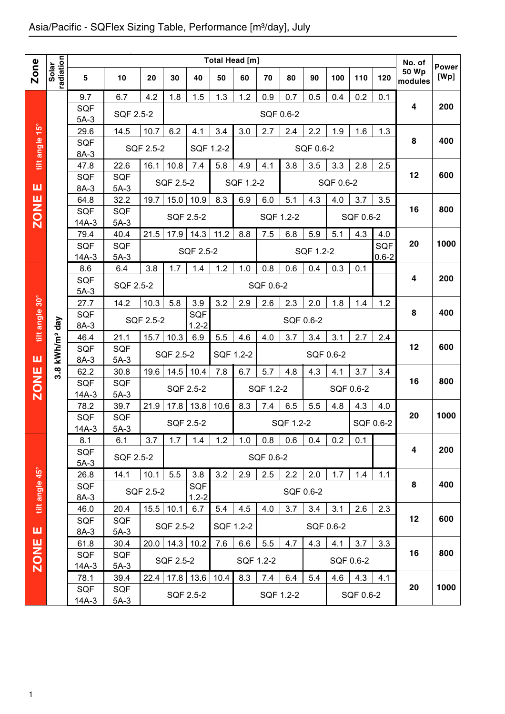|                |                    |                       |                      |           |                  |                  |           | <b>Total Head [m]</b> |           |           |           |           |           |                         | No. of                  |                      |
|----------------|--------------------|-----------------------|----------------------|-----------|------------------|------------------|-----------|-----------------------|-----------|-----------|-----------|-----------|-----------|-------------------------|-------------------------|----------------------|
| <b>Zone</b>    | radiation<br>Solar | 5                     | 10                   | 20        | 30               | 40               | 50        | 60                    | 70        | 80        | 90        | 100       | 110       | 120                     | <b>50 Wp</b><br>modules | <b>Power</b><br>[Wp] |
|                |                    |                       |                      |           |                  |                  |           |                       |           |           |           |           |           |                         |                         |                      |
|                |                    | 9.7<br><b>SQF</b>     | 6.7                  | 4.2       | 1.8              | 1.5              | 1.3       | 1.2                   | 0.9       | 0.7       | 0.5       | 0.4       | 0.2       | 0.1                     | 4                       | 200                  |
|                |                    | $5A-3$                | SQF 2.5-2            |           |                  |                  |           |                       | SQF 0.6-2 |           |           |           |           |                         |                         |                      |
|                |                    | 29.6                  | 14.5                 | 10.7      | 6.2              | 4.1              | 3.4       | 3.0                   | 2.7       | 2.4       | 2.2       | 1.9       | 1.6       | 1.3                     |                         |                      |
| tilt angle 15° |                    | <b>SQF</b>            |                      | SQF 2.5-2 |                  | SQF 1.2-2        |           |                       |           |           | SQF 0.6-2 |           |           |                         | 8                       | 400                  |
|                |                    | 8A-3                  |                      |           |                  |                  |           |                       |           |           |           |           |           |                         |                         |                      |
|                |                    | 47.8<br><b>SQF</b>    | 22.6<br><b>SQF</b>   | 16.1      | 10.8             | 7.4              | 5.8       | 4.9                   | 4.1       | 3.8       | 3.5       | 3.3       | 2.8       | 2.5                     | 12                      | 600                  |
| ш              |                    | 8A-3                  | $5A-3$               |           | <b>SQF 2.5-2</b> |                  |           | SQF 1.2-2             |           |           |           | SQF 0.6-2 |           |                         |                         |                      |
|                |                    | 64.8                  | 32.2                 | 19.7      | 15.0             | 10.9             | 8.3       | 6.9                   | 6.0       | 5.1       | 4.3       | 4.0       | 3.7       | 3.5                     |                         |                      |
| <b>ZONE</b>    |                    | <b>SQF</b>            | <b>SQF</b>           |           |                  | SQF 2.5-2        |           |                       | SQF 1.2-2 |           |           |           | SQF 0.6-2 |                         | 16                      | 800                  |
|                |                    | $14A-3$               | $5A-3$               |           |                  |                  |           |                       |           |           |           |           |           |                         |                         |                      |
|                |                    | 79.4                  | 40.4                 | 21.5      | 17.9             | 14.3             | 11.2      | 8.8                   | 7.5       | 6.8       | 5.9       | 5.1       | 4.3       | 4.0                     |                         | 1000                 |
|                |                    | <b>SQF</b><br>$14A-3$ | <b>SQF</b><br>$5A-3$ |           |                  | SQF 2.5-2        |           |                       |           |           | SQF 1.2-2 |           |           | <b>SQF</b><br>$0.6 - 2$ | 20                      |                      |
|                |                    | 8.6                   | 6.4                  | 3.8       | 1.7              | 1.4              | 1.2       | 1.0                   | 0.8       | 0.6       | 0.4       | 0.3       | 0.1       |                         |                         |                      |
|                |                    | <b>SQF</b>            |                      |           |                  |                  |           |                       |           |           |           |           |           |                         | 4                       | 200                  |
|                |                    | $5A-3$                | SQF 2.5-2            |           |                  |                  |           |                       | SQF 0.6-2 |           |           |           |           |                         |                         |                      |
| tilt angle 30° |                    | 27.7                  | 14.2                 | 10.3      | 5.8              | 3.9              | 3.2       | 2.9                   | 2.6       | 2.3       | 2.0       | 1.8       | 1.4       | 1.2                     |                         |                      |
|                |                    | <b>SQF</b>            |                      | SQF 2.5-2 |                  | SQF              |           |                       |           |           | SQF 0.6-2 |           |           |                         | 8                       | 400                  |
|                | day                | 8A-3                  |                      | 15.7      |                  | $1.2 - 2$        |           |                       |           |           |           |           | 2.7       |                         |                         |                      |
|                | kWh/m <sup>2</sup> | 46.4<br><b>SQF</b>    | 21.1<br><b>SQF</b>   |           | 10.3             | 6.9              | 5.5       | 4.6                   | 4.0       | 3.7       | 3.4       | 3.1       |           | 2.4                     | 12                      | 600                  |
| ш              |                    | 8A-3                  | $5A-3$               |           | SQF 2.5-2        |                  | SQF 1.2-2 |                       |           |           | SQF 0.6-2 |           |           |                         |                         |                      |
|                | $3.\overline{8}$   | 62.2                  | 30.8                 | 19.6      | 14.5             | 10.4             | 7.8       | 6.7                   | 5.7       | 4.8       | 4.3       | 4.1       | 3.7       | 3.4                     |                         |                      |
| <b>ZONE</b>    |                    | <b>SQF</b>            | <b>SQF</b>           |           |                  | SQF 2.5-2        |           |                       | SQF 1.2-2 |           |           |           | SQF 0.6-2 |                         | 16                      | 800                  |
|                |                    | $14A-3$               | $5A-3$               |           |                  |                  |           |                       |           |           |           |           |           |                         |                         |                      |
|                |                    | 78.2                  | 39.7                 | 21.9      | 17.8             | 13.8             | 10.6      | 8.3                   | 7.4       | 6.5       | 5.5       | 4.8       | 4.3       | 4.0                     | 20                      | 1000                 |
|                |                    | SQF<br>$14A-3$        | <b>SQF</b><br>$5A-3$ |           | SQF 2.5-2        |                  |           |                       |           | SQF 1.2-2 |           |           | SQF 0.6-2 |                         |                         |                      |
|                |                    | 8.1                   | 6.1                  | 3.7       | 1.7              | 1.4              | 1.2       | 1.0                   | 0.8       | 0.6       | 0.4       | 0.2       | 0.1       |                         |                         |                      |
|                |                    | <b>SQF</b>            |                      |           |                  |                  |           |                       |           |           |           |           |           |                         | 4                       | 200                  |
|                |                    | $5A-3$                | SQF 2.5-2            |           |                  |                  |           |                       | SQF 0.6-2 |           |           |           |           |                         |                         |                      |
|                |                    | 26.8                  | 14.1                 | 10.1      | 5.5              | 3.8              | 3.2       | 2.9                   | 2.5       | 2.2       | 2.0       | 1.7       | 1.4       | 1.1                     |                         |                      |
|                |                    | <b>SQF</b>            |                      | SQF 2.5-2 |                  | <b>SQF</b>       |           |                       |           |           | SQF 0.6-2 |           |           |                         | 8                       | 400                  |
| tilt angle 45° |                    | $8A-3$<br>46.0        | 20.4                 |           | $15.5$ 10.1      | $1.2 - 2$<br>6.7 | 5.4       | 4.5                   | 4.0       | 3.7       | 3.4       | 3.1       | 2.6       | 2.3                     |                         |                      |
|                |                    | <b>SQF</b>            | SQF                  |           |                  |                  |           |                       |           |           |           |           |           |                         | 12                      | 600                  |
| ш              |                    | $8A-3$                | $5A-3$               |           | SQF 2.5-2        |                  | SQF 1.2-2 |                       |           |           |           | SQF 0.6-2 |           |                         |                         |                      |
|                |                    | 61.8                  | 30.4                 | 20.0      | 14.3 10.2        |                  | 7.6       | 6.6                   | 5.5       | 4.7       | 4.3       | 4.1       | 3.7       | 3.3                     |                         |                      |
| <b>ZONE</b>    |                    | <b>SQF</b>            | SQF                  |           | SQF 2.5-2        |                  |           | SQF 1.2-2             |           |           |           |           | SQF 0.6-2 |                         | 16                      | 800                  |
|                |                    | $14A-3$               | $5A-3$               |           |                  |                  |           |                       |           |           |           |           |           |                         |                         |                      |
|                |                    | 78.1<br><b>SQF</b>    | 39.4<br>SQF          | 22.4      |                  | $17.8$ 13.6      | 10.4      | 8.3                   | 7.4       | 6.4       | 5.4       | 4.6       | 4.3       | 4.1                     | 20                      | 1000                 |
|                |                    | 14A-3                 | $5A-3$               |           |                  | SQF 2.5-2        |           |                       |           | SQF 1.2-2 |           |           | SQF 0.6-2 |                         |                         |                      |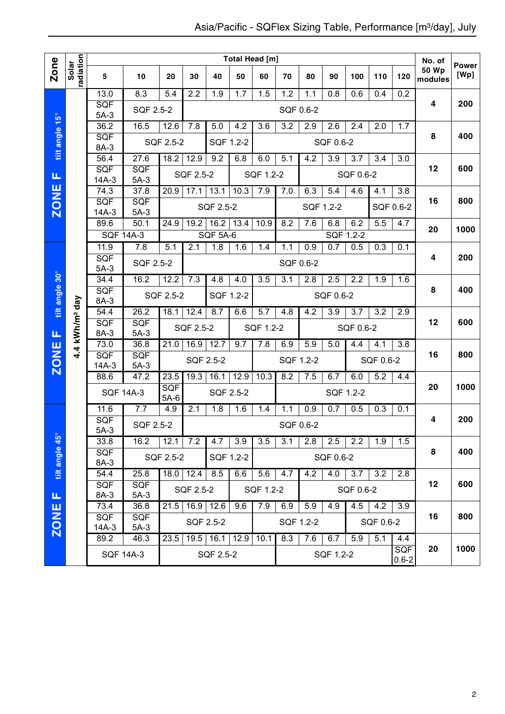|                |                            |                    |                    |               |             |                 |      | <b>Total Head [m]</b> |           |           |                  |           |           |                         | No. of                  | <b>Power</b> |
|----------------|----------------------------|--------------------|--------------------|---------------|-------------|-----------------|------|-----------------------|-----------|-----------|------------------|-----------|-----------|-------------------------|-------------------------|--------------|
| <b>Zone</b>    | radiation<br>Solar         | $\sqrt{5}$         | 10                 | 20            | 30          | 40              | 50   | 60                    | 70        | 80        | 90               | 100       | 110       | 120                     | <b>50 Wp</b><br>modules | [Wp]         |
|                |                            | 13.0               | 8.3                | 5.4           | 2.2         | 1.9             | 1.7  | 1.5                   | 1.2       | 1.1       | 0.8              | 0.6       | 0.4       | 0.2                     |                         |              |
|                |                            | SQF<br>$5A-3$      | SQF 2.5-2          |               |             |                 |      |                       | SQF 0.6-2 |           |                  |           |           |                         | 4                       | 200          |
|                |                            | 36.2               | 16.5               | 12.6          | 7.8         | 5.0             | 4.2  | 3.6                   | 3.2       | 2.9       | 2.6              | 2.4       | 2.0       | 1.7                     |                         |              |
| tilt angle 15° |                            | SQF                |                    | SQF 2.5-2     |             | SQF 1.2-2       |      |                       |           |           | SQF 0.6-2        |           |           |                         | 8                       | 400          |
|                |                            | 8A-3               |                    |               |             |                 |      |                       |           |           |                  |           |           |                         |                         |              |
|                |                            | 56.4<br>SQF        | 27.6<br><b>SQF</b> | 18.2          | 12.9        | 9.2             | 6.8  | 6.0                   | 5.1       | 4.2       | $\overline{3.9}$ | 3.7       | 3.4       | $\overline{3.0}$        | 12                      | 600          |
| Щ              |                            | $14A-3$            | $5A-3$             |               | SQF 2.5-2   |                 |      | SQF 1.2-2             |           |           |                  | SQF 0.6-2 |           |                         |                         |              |
|                |                            | 74.3               | 37.8               | 20.9          | 17.1        | 13.1            | 10.3 | 7.9                   | 7.0       | 6.3       | 5.4              | 4.6       | 4.1       | 3.8                     |                         |              |
| <b>ZONE</b>    |                            | SQF                | SQF                |               |             | SQF 2.5-2       |      |                       |           | SQF 1.2-2 |                  |           | SQF 0.6-2 |                         | 16                      | 800          |
|                |                            | $14A-3$<br>89.6    | $5A-3$<br>50.1     | 24.9          | 19.2        | 16.2            | 13.4 | 10.9                  | 8.2       | 7.6       | 6.8              | 6.2       | 5.5       | 4.7                     |                         |              |
|                |                            |                    | <b>SQF 14A-3</b>   |               |             | <b>SQF 5A-6</b> |      |                       |           |           |                  | SQF 1.2-2 |           |                         | 20                      | 1000         |
|                |                            | 11.9               | 7.8                | 5.1           | 2.1         | 1.8             | 1.6  | 1.4                   | 1.1       | 0.9       | 0.7              | 0.5       | 0.3       | 0.1                     |                         |              |
|                |                            | SQF                | SQF 2.5-2          |               |             |                 |      |                       | SQF 0.6-2 |           |                  |           |           |                         | 4                       | 200          |
|                |                            | $5A-3$             |                    |               |             |                 |      |                       |           |           |                  |           |           |                         |                         |              |
|                |                            | 34.4               | 16.2               | 12.2          | 7.3         | 4.8             | 4.0  | 3.5                   | 3.1       | 2.8       | 2.5              | 2.2       | 1.9       | 1.6                     | 8                       | 400          |
| tilt angle 30° |                            | SQF<br>8A-3        |                    | SQF 2.5-2     |             | SQF 1.2-2       |      |                       |           |           | SQF 0.6-2        |           |           |                         |                         |              |
|                | 4.4 kWh/m <sup>2</sup> day | 54.4               | 26.2               | 18.1          | 12.4        | 8.7             | 6.6  | $\overline{5.7}$      | 4.8       | 4.2       | $\overline{3.9}$ | 3.7       | 3.2       | 2.9                     |                         |              |
|                |                            | SQF                | <b>SQF</b>         |               | SQF 2.5-2   |                 |      | SQF 1.2-2             |           |           |                  | SQF 0.6-2 |           |                         | 12                      | 600          |
| Щ              |                            | 8A-3<br>73.0       | $5A-3$<br>36.8     | 21.0          | 16.9        | 12.7            | 9.7  | 7.8                   | 6.9       | 5.9       | 5.0              |           |           | 3.8                     |                         |              |
| <b>ZONE</b>    |                            | SQF                | <b>SQF</b>         |               |             |                 |      |                       |           |           |                  | 4.4       | 4.1       |                         | 16                      | 800          |
|                |                            | 14A-3              | $5A-3$             |               |             | SQF 2.5-2       |      |                       |           | SQF 1.2-2 |                  |           | SQF 0.6-2 |                         |                         |              |
|                |                            | 88.6               | 47.2               | 23.5          | 19.3        | 16.1            | 12.9 | 10.3                  | 8.2       | 7.5       | 6.7              | 6.0       | 5.2       | 4.4                     |                         |              |
|                |                            |                    | <b>SQF 14A-3</b>   | SQF           |             | SQF 2.5-2       |      |                       |           |           |                  | SQF 1.2-2 |           |                         | 20                      | 1000         |
|                |                            | 11.6               | 7.7                | $5A-6$<br>4.9 | 2.1         | 1.8             | 1.6  | 1.4                   | 1.1       | 0.9       | 0.7              | 0.5       | 0.3       | 0.1                     |                         |              |
|                |                            | <b>SQF</b>         | <b>SQF 2.5-2</b>   |               |             |                 |      |                       |           |           |                  |           |           |                         | 4                       | 200          |
|                |                            | $5A-3$             |                    |               |             |                 |      |                       |           | SQF 0.6-2 |                  |           |           |                         |                         |              |
|                |                            | 33.8               | 16.2               | 12.1          | 7.2         | 4.7             | 3.9  | 3.5                   | 3.1       | 2.8       | 2.5              | 2.2       | 1.9       | 1.5                     |                         | 400          |
|                |                            | <b>SQF</b><br>8A-3 |                    | SQF 2.5-2     |             | SQF 1.2-2       |      |                       |           |           | SQF 0.6-2        |           |           |                         | 8                       |              |
| tilt angle 45° |                            | 54.4               | 25.8               |               | $18.0$ 12.4 | 8.5             | 6.6  | 5.6                   | 4.7       | 4.2       | $\overline{4.0}$ | 3.7       | 3.2       | 2.8                     |                         |              |
|                |                            | <b>SQF</b>         | <b>SQF</b>         |               | SQF 2.5-2   |                 |      | SQF 1.2-2             |           |           |                  | SQF 0.6-2 |           |                         | 12                      | 600          |
| щ              |                            | 8A-3               | $5A-3$             |               |             |                 |      |                       |           |           |                  |           |           |                         |                         |              |
|                |                            | 73.4<br><b>SQF</b> | 36.8<br><b>SQF</b> | 21.5          | 16.9        | 12.6            | 9.6  | 7.9                   | 6.9       | 5.9       | 4.9              | 4.5       | 4.2       | 3.9                     | 16                      | 800          |
| <b>ZONE</b>    |                            | 14A-3              | $5A-3$             |               |             | SQF 2.5-2       |      |                       |           | SQF 1.2-2 |                  |           | SQF 0.6-2 |                         |                         |              |
|                |                            | 89.2               | 46.3               | 23.5          | 19.5        | $16.1$ 12.9     |      | 10.1                  | 8.3       | 7.6       | 6.7              | 5.9       | 5.1       | 4.4                     |                         |              |
|                |                            |                    | <b>SQF 14A-3</b>   |               |             | SQF 2.5-2       |      |                       |           |           | SQF 1.2-2        |           |           | <b>SQF</b><br>$0.6 - 2$ | 20                      | 1000         |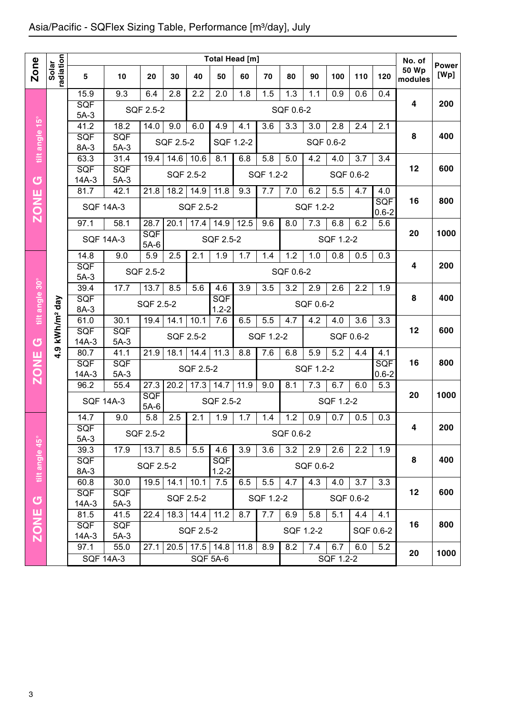|                |                        | Total Head [m]        |                      |                      |           |           |                         |      |           |           |           |                  | No. of    | <b>Power</b>            |                  |      |
|----------------|------------------------|-----------------------|----------------------|----------------------|-----------|-----------|-------------------------|------|-----------|-----------|-----------|------------------|-----------|-------------------------|------------------|------|
| <b>Zone</b>    | Solar<br>radiation     | 5                     | 10                   | 20                   | 30        | 40        | 50                      | 60   | 70        | 80        | 90        | 100              | 110       | 120                     | 50 Wp<br>modules | [Wp] |
|                |                        | 15.9                  | 9.3                  | 6.4                  | 2.8       | 2.2       | 2.0                     | 1.8  | 1.5       | 1.3       | 1.1       | 0.9              | 0.6       | 0.4                     |                  |      |
|                |                        | <b>SQF</b><br>$5A-3$  |                      | SQF 2.5-2            |           |           |                         |      |           | SQF 0.6-2 |           |                  |           |                         | 4                | 200  |
|                |                        | 41.2                  | 18.2                 | 14.0                 | 9.0       | 6.0       | 4.9                     | 4.1  | 3.6       | 3.3       | 3.0       | $2.\overline{8}$ | 2.4       | 2.1                     |                  |      |
| tilt angle 15° |                        | SQF<br>8A-3           | SQF<br>$5A-3$        |                      | SQF 2.5-2 |           | SQF 1.2-2               |      |           |           |           | SQF 0.6-2        |           |                         | 8                | 400  |
|                |                        | 63.3                  | 31.4                 | 19.4                 | 14.6      | 10.6      | 8.1                     | 6.8  | 5.8       | 5.0       | 4.2       | 4.0              | 3.7       | 3.4                     |                  |      |
| ග              |                        | SQF<br>$14A-3$        | SQF<br>$5A-3$        |                      | SQF 2.5-2 |           |                         |      | SQF 1.2-2 |           |           |                  | SQF 0.6-2 |                         | 12               | 600  |
|                |                        | 81.7                  | 42.1                 | 21.8                 | 18.2      | 14.9      | 11.8                    | 9.3  | 7.7       | 7.0       | 6.2       | 5.5              | 4.7       | 4.0                     |                  |      |
| <b>ZONE</b>    |                        | <b>SQF 14A-3</b>      |                      |                      |           | SQF 2.5-2 |                         |      |           |           | SQF 1.2-2 |                  |           | SQF<br>$0.6 - 2$        | 16               | 800  |
|                |                        | 97.1                  | 58.1                 | 28.7                 | 20.1      | 17.4      | 14.9                    | 12.5 | 9.6       | 8.0       | 7.3       | 6.8              | 6.2       | 5.6                     |                  |      |
|                |                        | <b>SQF 14A-3</b>      |                      | <b>SQF</b><br>$5A-6$ |           |           | SQF 2.5-2               |      |           |           |           | SQF 1.2-2        |           |                         | 20               | 1000 |
|                |                        | 14.8                  | 9.0                  | 5.9                  | 2.5       | 2.1       | 1.9                     | 1.7  | 1.4       | 1.2       | 1.0       | 0.8              | 0.5       | 0.3                     |                  |      |
|                |                        | SQF<br>$5A-3$         |                      | SQF 2.5-2            |           |           |                         |      |           | SQF 0.6-2 |           |                  |           |                         | 4                | 200  |
|                |                        | 39.4                  | 17.7                 | 13.7                 | 8.5       | 5.6       | 4.6                     | 3.9  | 3.5       | 3.2       | 2.9       | 2.6              | 2.2       | 1.9                     |                  |      |
| tilt angle 30° | kWh/m <sup>2</sup> day | SQF<br>8A-3           |                      | SQF 2.5-2            |           |           | SQF<br>$1.2 - 2$        |      |           |           | SQF 0.6-2 |                  |           |                         | 8                | 400  |
|                |                        | 61.0                  | 30.1                 | 19.4                 | 14.1      | 10.1      | 7.6                     | 6.5  | 5.5       | 4.7       | 4.2       | 4.0              | 3.6       | 3.3                     |                  |      |
| U              |                        | <b>SQF</b><br>$14A-3$ | <b>SQF</b><br>$5A-3$ |                      | SQF 2.5-2 |           |                         |      | SQF 1.2-2 |           |           |                  | SQF 0.6-2 |                         | 12               | 600  |
|                | <u>၈</u>               | 80.7                  | 41.1                 | 21.9                 | 18.1      | 14.4      | 11.3                    | 8.8  | 7.6       | 6.8       | 5.9       | 5.2              | 4.4       | 4.1                     |                  |      |
| <b>ZONE</b>    |                        | <b>SQF</b><br>$14A-3$ | SQF<br>$5A-3$        |                      |           | SQF 2.5-2 |                         |      |           |           | SQF 1.2-2 |                  |           | <b>SQF</b><br>$0.6 - 2$ | 16               | 800  |
|                |                        | 96.2                  | 55.4                 | 27.3                 | 20.2      | 17.3      | 14.7                    | 11.9 | 9.0       | 8.1       | 7.3       | 6.7              | 6.0       | 5.3                     |                  |      |
|                |                        |                       | <b>SQF 14A-3</b>     | SQF<br>$5A-6$        |           |           | SQF 2.5-2               |      |           |           |           | SQF 1.2-2        |           |                         | 20               | 1000 |
|                |                        | 14.7                  | 9.0                  | 5.8                  | 2.5       | 2.1       | 1.9                     | 1.7  | 1.4       | 1.2       | 0.9       | 0.7              | 0.5       | 0.3                     |                  |      |
|                |                        | SQF<br>$5A-3$         |                      | SQF 2.5-2            |           |           |                         |      |           | SQF 0.6-2 |           |                  |           |                         | 4                | 200  |
|                |                        | 39.3                  | 17.9                 | 13.7                 | 8.5       | 5.5       | 4.6                     | 3.9  | 3.6       | 3.2       | 2.9       | 2.6              | 2.2       | 1.9                     |                  |      |
| tilt angle 45° |                        | <b>SQF</b><br>8A-3    |                      | SQF 2.5-2            |           |           | <b>SQF</b><br>$1.2 - 2$ |      |           |           | SQF 0.6-2 |                  |           |                         | 8                | 400  |
|                |                        | 60.8                  | 30.0                 | 19.5                 | 14.1      | 10.1      | 7.5                     | 6.5  | 5.5       | 4.7       | 4.3       | 4.0              | 3.7       | 3.3                     |                  |      |
| $\sigma$       |                        | <b>SQF</b><br>$14A-3$ | <b>SQF</b><br>$5A-3$ |                      |           | SQF 2.5-2 |                         |      | SQF 1.2-2 |           |           |                  | SQF 0.6-2 |                         | 12               | 600  |
|                |                        | 81.5                  | 41.5                 | 22.4                 | 18.3      | 14.4      | 11.2                    | 8.7  | 7.7       | 6.9       | 5.8       | 5.1              | 4.4       | 4.1                     |                  |      |
| <b>ZONE</b>    |                        | <b>SQF</b><br>$14A-3$ | <b>SQF</b><br>$5A-3$ |                      |           | SQF 2.5-2 |                         |      |           | SQF 1.2-2 |           |                  |           | SQF 0.6-2               | 16               | 800  |
|                |                        | 97.1                  | 55.0                 | 27.1                 | 20.5      |           | $17.5$ 14.8             | 11.8 | 8.9       | 8.2       | 7.4       | 6.7              | 6.0       | 5.2                     | 20               | 1000 |
|                |                        |                       | <b>SQF 14A-3</b>     |                      |           |           | <b>SQF 5A-6</b>         |      |           |           |           | SQF 1.2-2        |           |                         |                  |      |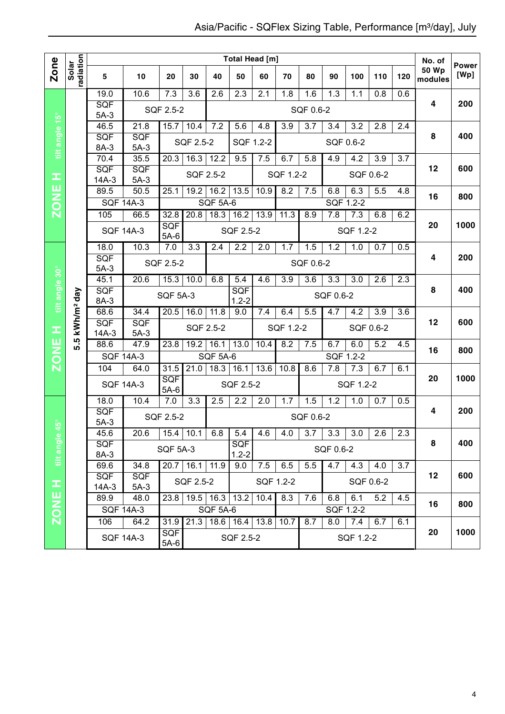|                |                        |                                |                          |                      |                  |                  | <b>Total Head [m]</b>   |                  |           |                  |                  |                  |                  |     | No. of                  | <b>Power</b> |
|----------------|------------------------|--------------------------------|--------------------------|----------------------|------------------|------------------|-------------------------|------------------|-----------|------------------|------------------|------------------|------------------|-----|-------------------------|--------------|
| Zone           | radiation<br>Solar     | 5                              | 10                       | 20                   | 30               | 40               | 50                      | 60               | 70        | 80               | 90               | 100              | 110              | 120 | <b>50 Wp</b><br>modules | [Wp]         |
|                |                        | 19.0                           | 10.6                     | 7.3                  | 3.6              | 2.6              | 2.3                     | 2.1              | 1.8       | 1.6              | $\overline{1.3}$ | 1.1              | $\overline{0.8}$ | 0.6 |                         |              |
|                |                        | SQF<br>$5A-3$                  |                          | SQF 2.5-2            |                  |                  |                         |                  |           | SQF 0.6-2        |                  |                  |                  |     | $\overline{4}$          | 200          |
|                |                        | 46.5                           | 21.8                     | 15.7                 | 10.4             | 7.2              | 5.6                     | $\overline{4.8}$ | 3.9       | 3.7              | 3.4              | $\overline{3.2}$ | 2.8              | 2.4 |                         |              |
| tilt angle 15° |                        | SQF                            | SQF                      |                      | SQF 2.5-2        |                  | SQF 1.2-2               |                  |           |                  |                  | SQF 0.6-2        |                  |     | 8                       | 400          |
|                |                        | 8A-3                           | $5A-3$                   |                      |                  |                  |                         |                  |           |                  |                  |                  |                  |     |                         |              |
|                |                        | 70.4<br>SQF                    | 35.5<br>SQF              | 20.3                 | 16.3             | 12.2             | 9.5                     | 7.5              | 6.7       | 5.8              | 4.9              | 4.2              | 3.9              | 3.7 | 12                      | 600          |
| ᆂ              |                        | $14A-3$                        | $5A-3$                   |                      |                  | SQF 2.5-2        |                         |                  | SQF 1.2-2 |                  |                  |                  | SQF 0.6-2        |     |                         |              |
| ш              |                        | 89.5                           | $\overline{50.5}$        | 25.1                 | 19.2             | 16.2             | 13.5                    | 10.9             | 8.2       | 7.5              | 6.8              | 6.3              | 5.5              | 4.8 |                         |              |
| ZON            |                        | <b>SQF 14A-3</b>               |                          |                      |                  | <b>SQF 5A-6</b>  |                         |                  |           |                  |                  | SQF 1.2-2        |                  |     | 16                      | 800          |
|                |                        | 105                            | 66.5                     | 32.8                 | 20.8             | 18.3             | 16.2                    | 13.9             | 11.3      | 8.9              | 7.8              | 7.3              | 6.8              | 6.2 |                         |              |
|                |                        |                                | <b>SQF 14A-3</b>         | SQF<br>$5A-6$        |                  |                  | SQF 2.5-2               |                  |           |                  |                  | SQF 1.2-2        |                  |     | 20                      | 1000         |
|                |                        | 18.0                           | 10.3                     | 7.0                  | $\overline{3.3}$ | $\overline{2.4}$ | $\overline{2.2}$        | $\overline{2.0}$ | 1.7       | 1.5              | 1.2              | 1.0              | 0.7              | 0.5 |                         |              |
|                |                        | SQF                            |                          | SQF 2.5-2            |                  |                  |                         |                  |           | SQF 0.6-2        |                  |                  |                  |     | $\overline{\mathbf{4}}$ | 200          |
| tilt angle 30° |                        | $5A-3$<br>45.1                 | 20.6                     | 15.3                 | 10.0             | 6.8              | $\overline{5.4}$        | 4.6              | 3.9       | 3.6              | $\overline{3.3}$ | $\overline{3.0}$ | 2.6              | 2.3 |                         |              |
|                |                        | SQF                            |                          |                      |                  |                  | SQF                     |                  |           |                  |                  |                  |                  |     | 8                       | 400          |
|                |                        | 8A-3                           |                          | <b>SQF 5A-3</b>      |                  |                  | $1.2 - 2$               |                  |           |                  | SQF 0.6-2        |                  |                  |     |                         |              |
|                | kWh/m <sup>2</sup> day | 68.6                           | 34.4                     | 20.5                 | 16.0             | 11.8             | 9.0                     | 7.4              | 6.4       | 5.5              | 4.7              | 4.2              | 3.9              | 3.6 | 12                      | 600          |
|                |                        | SQF<br>$14A-3$                 | SQF<br>$5A-3$            |                      |                  | SQF 2.5-2        |                         |                  | SQF 1.2-2 |                  |                  |                  | SQF 0.6-2        |     |                         |              |
| H<br>NH<br>NO  | ഥ<br>ທ່                | 88.6                           | 47.9                     | 23.8                 | 19.2             | 16.1             | 13.0                    | 10.4             | 8.2       | 7.5              | 6.7              | 6.0              | 5.2              | 4.5 |                         |              |
|                |                        | <b>SQF 14A-3</b>               |                          |                      |                  | <b>SQF 5A-6</b>  |                         |                  |           |                  |                  | SQF 1.2-2        |                  |     | 16                      | 800          |
| Ñ              |                        | 104                            | 64.0                     | 31.5                 | 21.0             | 18.3             | 16.1                    | 13.6             | 10.8      | 8.6              | 7.8              | 7.3              | 6.7              | 6.1 |                         |              |
|                |                        |                                | <b>SQF 14A-3</b>         | SQF<br>$5A-6$        |                  |                  | SQF 2.5-2               |                  |           |                  |                  | SQF 1.2-2        |                  |     | 20                      | 1000         |
|                |                        | 18.0                           | 10.4                     | 7.0                  | 3.3              | 2.5              | 2.2                     | 2.0              | 1.7       | 1.5              | 1.2              | 1.0              | 0.7              | 0.5 |                         |              |
| $45^{\circ}$   |                        | SQF<br>$5A-3$                  |                          | SQF 2.5-2            |                  |                  |                         |                  |           | SQF 0.6-2        |                  |                  |                  |     | 4                       | 200          |
|                |                        | 45.6                           | 20.6                     |                      | $15.4$   10.1    | 6.8              | 5.4                     | 4.6              | 4.0       | 3.7 <sup>1</sup> | 3.3              | 3.0              | 2.6              | 2.3 |                         |              |
| tilt angle     |                        | SQF<br>8A-3                    |                          | <b>SQF 5A-3</b>      |                  |                  | <b>SQF</b><br>$1.2 - 2$ |                  |           |                  | SQF 0.6-2        |                  |                  |     | 8                       | 400          |
|                |                        | 69.6                           | 34.8                     |                      | 20.7 16.1 11.9   |                  | 9.0                     | 7.5              | 6.5       | 5.5              | $\overline{4.7}$ | 4.3              | 4.0              | 3.7 |                         |              |
| œ              |                        | SQF<br>SQF                     |                          |                      |                  |                  |                         |                  | SQF 1.2-2 |                  |                  |                  | SQF 0.6-2        |     | 12                      | 600          |
| ш              |                        | SQF 2.5-2<br>$14A-3$<br>$5A-3$ |                          |                      |                  |                  |                         |                  |           |                  |                  |                  |                  |     |                         |              |
| $\overline{6}$ |                        | 89.9                           | 48.0<br><b>SQF 14A-3</b> |                      | 23.8 19.5 16.3   | <b>SQF 5A-6</b>  | 13.2                    | 10.4             | 8.3       | 7.6              | 6.8              | 6.1<br>SQF 1.2-2 | 5.2              | 4.5 | 16                      | 800          |
| Ñ              |                        | 106                            | 64.2                     | 31.9                 |                  | $21.3$ 18.6 16.4 |                         | 13.8             | 10.7      | 8.7              | 8.0              | 7.4              | 6.7              | 6.1 |                         |              |
|                |                        |                                | <b>SQF 14A-3</b>         | <b>SQF</b><br>$5A-6$ |                  |                  | SQF 2.5-2               |                  |           |                  |                  | SQF 1.2-2        |                  |     | 20                      | 1000         |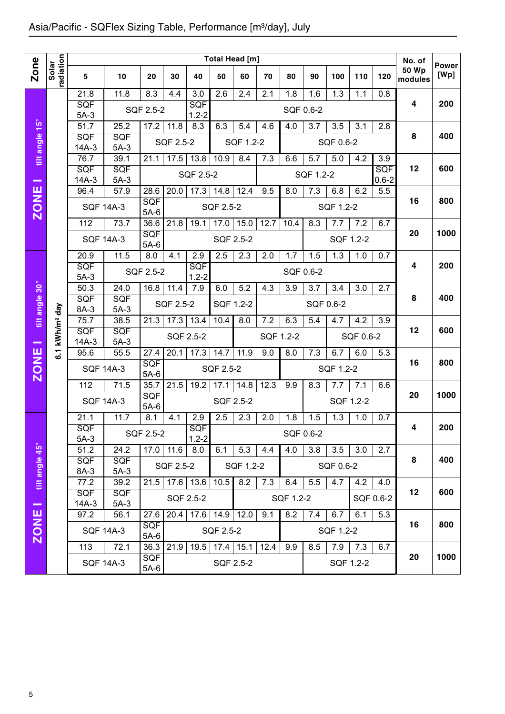|                |                        | Total Head [m]        |                      |                      |                   |                         |             |           |           |           |           |                  |           |            | No. of       |               |
|----------------|------------------------|-----------------------|----------------------|----------------------|-------------------|-------------------------|-------------|-----------|-----------|-----------|-----------|------------------|-----------|------------|--------------|---------------|
| Zone           | radiation<br>Solar     | 5                     | 10                   | 20                   | 30                | 40                      | 50          | 60        | 70        | 80        | 90        | 100              | 110       | 120        | <b>50 Wp</b> | Power<br>[Wp] |
|                |                        |                       |                      |                      |                   |                         |             |           |           |           |           |                  |           |            | modules      |               |
|                |                        | 21.8<br><b>SQF</b>    | 11.8                 | 8.3                  | 4.4               | 3.0<br>SQF              | 2.6         | 2.4       | 2.1       | 1.8       | 1.6       | $\overline{1.3}$ | 1.1       | 0.8        | 4            | 200           |
|                |                        | $5A-3$                |                      | SQF 2.5-2            |                   | $1.2 - 2$               |             |           |           |           | SQF 0.6-2 |                  |           |            |              |               |
| $15^{\circ}$   |                        | 51.7                  | 25.2                 | 17.2                 | 11.8              | 8.3                     | 6.3         | 5.4       | 4.6       | 4.0       | 3.7       | 3.5              | 3.1       | 2.8        |              |               |
| tilt angle     |                        | <b>SQF</b><br>$14A-3$ | <b>SQF</b><br>$5A-3$ |                      | SQF 2.5-2         |                         |             | SQF 1.2-2 |           |           |           | SQF 0.6-2        |           |            | 8            | 400           |
|                |                        | 76.7                  | 39.1                 | 21.1                 | 17.5              | 13.8                    | 10.9        | 8.4       | 7.3       | 6.6       | 5.7       | 5.0              | 4.2       | 3.9        |              |               |
|                |                        | <b>SQF</b>            | <b>SQF</b>           |                      |                   |                         |             |           |           |           |           |                  |           | <b>SQF</b> | 12           | 600           |
|                |                        | $14A-3$               | $5A-3$               |                      |                   | SQF 2.5-2               |             |           |           |           | SQF 1.2-2 |                  |           | $0.6 - 2$  |              |               |
|                |                        | 96.4                  | 57.9                 | 28.6                 | 20.0              | 17.3                    | 14.8        | 12.4      | 9.5       | 8.0       | 7.3       | 6.8              | 6.2       | 5.5        | 16           | 800           |
| <b>ZONE</b>    |                        | <b>SQF 14A-3</b>      |                      | <b>SQF</b><br>$5A-6$ |                   |                         | SQF 2.5-2   |           |           |           |           | SQF 1.2-2        |           |            |              |               |
|                |                        | 112                   | 73.7                 | 36.6                 | 21.8              | 19.1                    | 17.0        | 15.0      | 12.7      | 10.4      | 8.3       | 7.7              | 7.2       | 6.7        |              |               |
|                |                        | <b>SQF 14A-3</b>      |                      | SQF<br>$5A-6$        |                   |                         | SQF 2.5-2   |           |           |           |           | SQF 1.2-2        |           |            | 20           | 1000          |
|                |                        | 20.9                  | 11.5                 | 8.0                  | 4.1               | 2.9                     | 2.5         | 2.3       | 2.0       | 1.7       | 1.5       | 1.3              | 1.0       | 0.7        |              |               |
|                |                        | <b>SQF</b><br>$5A-3$  |                      | SQF 2.5-2            |                   | <b>SQF</b><br>$1.2 - 2$ |             |           |           | SQF 0.6-2 |           |                  |           |            | 4            | 200           |
|                |                        | 50.3                  | 24.0                 | 16.8                 | 11.4              | 7.9                     | 6.0         | 5.2       | 4.3       | 3.9       | 3.7       | 3.4              | 3.0       | 2.7        |              |               |
| tilt angle 30° |                        | SQF                   | SQF                  |                      | SQF 2.5-2         |                         | SQF 1.2-2   |           |           |           | SQF 0.6-2 |                  |           |            | 8            | 400           |
|                |                        | 8A-3<br>75.7          | $5A-3$               |                      |                   |                         |             |           |           |           |           |                  |           |            |              |               |
|                | kWh/m <sup>2</sup> day | <b>SQF</b>            | 38.5<br><b>SQF</b>   | 21.3                 | 17.3              | 13.4                    | 10.4        | 8.0       | 7.2       | 6.3       | 5.4       | 4.7              | 4.2       | 3.9        | 12           | 600           |
| $\sim$         |                        | $14A-3$               | $5A-3$               |                      | SQF 2.5-2         |                         |             |           | SQF 1.2-2 |           |           |                  | SQF 0.6-2 |            |              |               |
|                | $\overline{6}$ .       | 95.6                  | 55.5                 | 27.4                 | 20.1              | 17.3                    | 14.7        | 11.9      | 9.0       | 8.0       | 7.3       | 6.7              | 6.0       | 5.3        |              |               |
| <b>ZONE</b>    |                        | <b>SQF 14A-3</b>      |                      | <b>SQF</b><br>$5A-6$ |                   |                         | SQF 2.5-2   |           |           |           |           | SQF 1.2-2        |           |            | 16           | 800           |
|                |                        | 112                   | 71.5                 | 35.7                 | 21.5              | 19.2                    | 17.1        | 14.8      | 12.3      | 9.9       | 8.3       | 7.7              | 7.1       | 6.6        |              |               |
|                |                        | <b>SQF 14A-3</b>      |                      | SQF<br>$5A-6$        |                   |                         | SQF 2.5-2   |           |           |           |           | SQF 1.2-2        |           |            | 20           | 1000          |
|                |                        | 21.1                  | 71.7                 | 8.1                  | 4.1               | 2.9                     | 2.5         | 2.3       | 2.0       | 1.8       | 1.5       | 1.3              | 1.0       | 0.7        |              |               |
|                |                        | SQF                   |                      | SQF 2.5-2            |                   | SQ⊦                     |             |           |           |           | SQF 0.6-2 |                  |           |            | 4            | 200           |
|                |                        | $5A-3$<br>51.2        | 24.2                 |                      | $17.0$ 11.6       | $1.2 - 2$<br>8.0        | 6.1         | 5.3       | 4.4       | 4.0       | 3.8       | 3.5              | 3.0       | 2.7        |              |               |
| tilt angle 45° |                        | <b>SQF</b>            | <b>SQF</b>           |                      | SQF 2.5-2         |                         |             | SQF 1.2-2 |           |           |           | SQF 0.6-2        |           |            | 8            | 400           |
|                |                        | 8A-3                  | $5A-3$               |                      |                   |                         |             |           |           |           |           |                  |           |            |              |               |
|                |                        | 77.2<br><b>SQF</b>    | 39.2<br><b>SQF</b>   | 21.5                 | 17.6              | 13.6                    | 10.5        | 8.2       | 7.3       | 6.4       | 5.5       | 4.7              | 4.2       | 4.0        | 12           | 600           |
| $\sim$         |                        | $14A-3$               | $5A-3$               |                      |                   | SQF 2.5-2               |             |           |           | SQF 1.2-2 |           |                  |           | SQF 0.6-2  |              |               |
|                |                        | 97.2                  | 56.1                 | 27.6                 | $\overline{20.4}$ |                         | $17.6$ 14.9 | 12.0      | 9.1       | 8.2       | 7.4       | 6.7              | 6.1       | 5.3        |              |               |
| ZONE           |                        | <b>SQF 14A-3</b>      |                      | <b>SQF</b><br>$5A-6$ |                   |                         | SQF 2.5-2   |           |           |           |           | SQF 1.2-2        |           |            | 16           | 800           |
|                |                        | 113                   | 72.1                 | 36.3                 | 21.9              | 19.5                    | $17.4$ 15.1 |           | 12.4      | 9.9       | 8.5       | 7.9              | 7.3       | 6.7        |              |               |
|                |                        | <b>SQF 14A-3</b>      |                      | <b>SQF</b><br>5A-6   |                   |                         |             | SQF 2.5-2 |           |           |           |                  | SQF 1.2-2 |            | 20           | 1000          |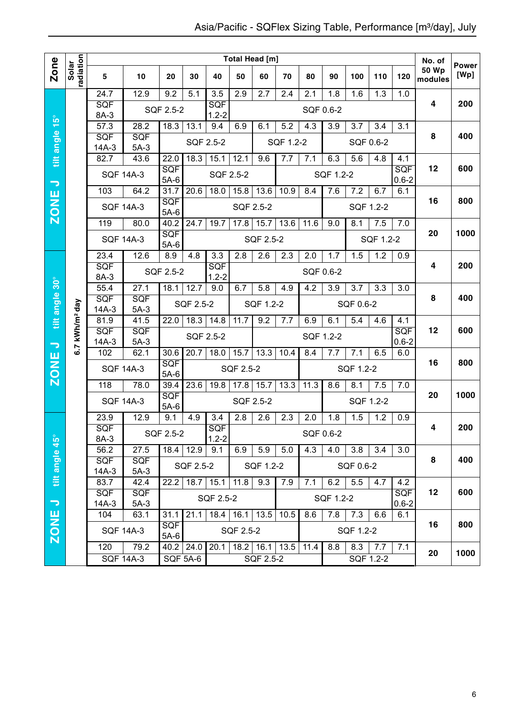|                          |                            |                       |                      |                |                      |                             |                  | <b>Total Head [m]</b> |           |           |           |           |                  |                  | No. of           | <b>Power</b> |
|--------------------------|----------------------------|-----------------------|----------------------|----------------|----------------------|-----------------------------|------------------|-----------------------|-----------|-----------|-----------|-----------|------------------|------------------|------------------|--------------|
| <b>Zone</b>              | radiation<br>Solar         | 5                     | 10                   | 20             | 30                   | 40                          | 50               | 60                    | 70        | 80        | 90        | 100       | 110              | 120              | 50 Wp<br>modules | [Wp]         |
|                          |                            | 24.7                  | 12.9                 | 9.2            | 5.1                  | $\overline{3.5}$            | $\overline{2.9}$ | 2.7                   | 2.4       | 2.1       | 1.8       | 1.6       | 1.3              | 1.0              |                  |              |
|                          |                            | SQF                   |                      | SQF 2.5-2      |                      | SQF                         |                  |                       |           | SQF 0.6-2 |           |           |                  |                  | 4                | 200          |
| $15^{\circ}$             |                            | 8A-3<br>57.3          | 28.2                 | 18.3           | 13.1                 | $1.2 - 2$<br>9.4            | 6.9              | 6.1                   | 5.2       | 4.3       | 3.9       | 3.7       | 3.4              | 3.1              |                  |              |
|                          |                            | SQF                   | SQF                  |                |                      |                             |                  |                       |           |           |           |           |                  |                  | 8                | 400          |
|                          |                            | $14A-3$               | $5A-3$               |                |                      | SQF 2.5-2                   |                  |                       | SQF 1.2-2 |           |           |           | SQF 0.6-2        |                  |                  |              |
| tilt angle               |                            | 82.7                  | 43.6                 | 22.0           | 18.3                 | 15.1                        | 12.1             | 9.6                   | 7.7       | 7.1       | 6.3       | 5.6       | 4.8              | 4.1              |                  |              |
|                          |                            |                       | <b>SQF 14A-3</b>     | SQF<br>$5A-6$  |                      | SQF 2.5-2                   |                  |                       |           |           | SQF 1.2-2 |           |                  | SQF<br>$0.6 - 2$ | 12               | 600          |
| $\overline{\phantom{0}}$ |                            | 103                   | 64.2                 | 31.7           | 20.6                 | $\overline{18.0}$           | 15.8             | 13.6                  | 10.9      | 8.4       | 7.6       | 7.2       | 6.7              | 6.1              |                  |              |
| <b>ZONE</b>              |                            |                       | <b>SQF 14A-3</b>     | <b>SQF</b>     |                      |                             |                  | SQF 2.5-2             |           |           |           |           | SQF 1.2-2        |                  | 16               | 800          |
|                          |                            |                       | 80.0                 | $5A-6$<br>40.2 | 24.7                 |                             |                  |                       |           |           |           |           |                  |                  |                  |              |
|                          |                            | 119                   |                      | <b>SQF</b>     |                      | 19.7                        | 17.8             | 15.7                  | 13.6      | 11.6      | 9.0       | 8.1       | 7.5              | 7.0              | 20               | 1000         |
|                          |                            | <b>SQF 14A-3</b>      |                      | $5A-6$         |                      |                             |                  | SQF 2.5-2             |           |           |           |           | SQF 1.2-2        |                  |                  |              |
|                          |                            | 23.4                  | 12.6                 | 8.9            | 4.8                  | 3.3                         | 2.8              | 2.6                   | 2.3       | 2.0       | 1.7       | 1.5       | 1.2              | 0.9              |                  |              |
|                          |                            | SQF<br>8A-3           |                      | SQF 2.5-2      |                      | SQF<br>$1.2 - 2$            |                  |                       |           | SQF 0.6-2 |           |           |                  |                  | 4                | 200          |
|                          |                            | 55.4                  | 27.1                 | 18.1           | 12.7                 | $\overline{9.0}$            | 6.7              | 5.8                   | 4.9       | 4.2       | 3.9       | 3.7       | $\overline{3.3}$ | 3.0              |                  |              |
| tilt angle 30°           |                            | SQF                   | <b>SQF</b>           |                | SQF 2.5-2            |                             |                  | SQF 1.2-2             |           |           |           | SQF 0.6-2 |                  |                  | 8                | 400          |
|                          |                            | $14A-3$               | $5A-3$               |                |                      |                             |                  |                       |           |           |           |           |                  |                  |                  |              |
|                          |                            | 81.9<br>SQF           | 41.5<br>SQF          | 22.0           | 18.3                 | 14.8                        | 11.7             | 9.2                   | 7.7       | 6.9       | 6.1       | 5.4       | 4.6              | 4.1<br>SQF       | 12               | 600          |
| $\overline{\phantom{a}}$ | 6.7 kWh/m <sup>2</sup> day | $14A-3$               | $5A-3$               |                |                      | SQF 2.5-2                   |                  |                       |           | SQF 1.2-2 |           |           |                  | $0.6 - 2$        |                  |              |
|                          |                            | 102                   | 62.1                 | 30.6           | 20.7                 | 18.0                        | 15.7             | 13.3                  | 10.4      | 8.4       | 7.7       | 7.1       | 6.5              | 6.0              |                  |              |
| <b>ZONE</b>              |                            |                       | <b>SQF 14A-3</b>     | SQF<br>$5A-6$  |                      |                             | SQF 2.5-2        |                       |           |           |           | SQF 1.2-2 |                  |                  | 16               | 800          |
|                          |                            | 118                   | 78.0                 | 39.4           | 23.6                 | 19.8                        | 17.8             | 15.7                  | 13.3      | 11.3      | 8.6       | 8.1       | 7.5              | 7.0              |                  |              |
|                          |                            | <b>SQF 14A-3</b>      |                      | SQF            |                      |                             | SQF 2.5-2        |                       |           |           |           |           | SQF 1.2-2        |                  | 20               | 1000         |
|                          |                            | 23.9                  | 12.9                 | $5A-6$<br>9.1  | 4.9                  | 3.4                         | 2.8              | 2.6                   | 2.3       | 2.0       | 1.8       | 1.5       | 1.2              | 0.9              |                  |              |
|                          |                            | SQF                   |                      |                |                      | <b>SQF</b>                  |                  |                       |           |           |           |           |                  |                  | 4                | 200          |
|                          |                            | 8A-3                  |                      | SQF 2.5-2      |                      | $1.2 - 2$                   |                  |                       |           | SQF 0.6-2 |           |           |                  |                  |                  |              |
|                          |                            | 56.2                  | 27.5                 |                | $18.4$ 12.9          | 9.1                         | 6.9              | 5.9                   | 5.0       | 4.3       | 4.0       | 3.8       | 3.4              | 3.0              |                  |              |
| tilt angle 45°           |                            | <b>SQF</b><br>$14A-3$ | <b>SQF</b><br>$5A-3$ |                | SQF 2.5-2            |                             |                  | SQF 1.2-2             |           |           |           | SQF 0.6-2 |                  |                  | 8                | 400          |
|                          |                            | 83.7                  | 42.4                 |                | $22.2$   18.7   15.1 |                             | 11.8             | 9.3                   | 7.9       | 7.1       | 6.2       | 5.5       | 4.7              | 4.2              |                  |              |
|                          |                            | <b>SQF</b>            | <b>SQF</b>           |                |                      | SQF 2.5-2                   |                  |                       |           |           | SQF 1.2-2 |           |                  | <b>SQF</b>       | 12               | 600          |
| $\overline{\phantom{a}}$ |                            | $14A-3$<br>104        | $5A-3$<br>63.1       | 31.1           |                      | $21.1$   18.4   16.1   13.5 |                  |                       | 10.5      | 8.6       | 7.8       | 7.3       | 6.6              | $0.6 - 2$<br>6.1 |                  |              |
| ZONE                     |                            |                       |                      | <b>SQF</b>     |                      |                             |                  |                       |           |           |           |           |                  |                  | 16               | 800          |
|                          |                            |                       | <b>SQF 14A-3</b>     | $5A-6$         |                      |                             | SQF 2.5-2        |                       |           |           |           | SQF 1.2-2 |                  |                  |                  |              |
|                          |                            | 120                   | 79.2                 | $40.2$ 24.0    |                      |                             |                  | $20.1$ 18.2 16.1 13.5 |           | 11.4      | 8.8       | 8.3       | 7.7              | 7.1              | 20               | 1000         |
|                          |                            |                       | <b>SQF 14A-3</b>     |                | SQF 5A-6             |                             |                  | SQF 2.5-2             |           |           |           |           | SQF 1.2-2        |                  |                  |              |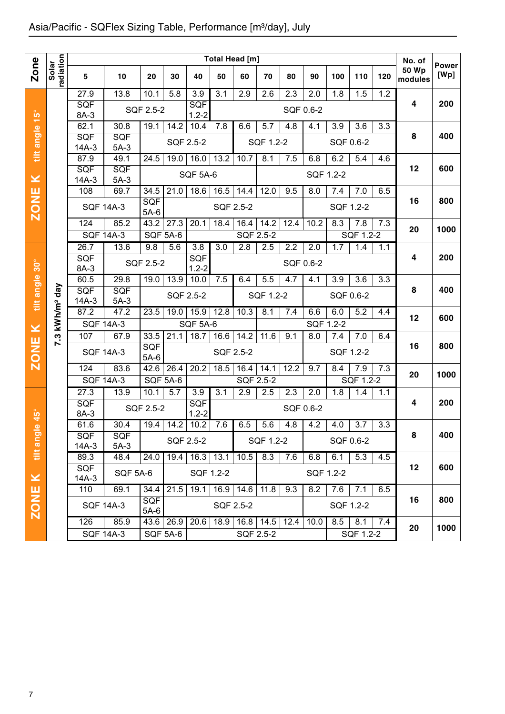| radiation<br><b>Zone</b><br>Solar<br>5<br>27.9<br><b>SQF</b><br>tilt angle 15°<br>8A-3<br>62.1<br>SQF<br>$14A-3$<br>87.9<br><b>SQF</b><br>×<br>$14A-3$<br><b>ZONE</b><br>108<br>124<br>26.7<br>SQF<br>tilt angle 30°<br>8A-3<br>60.5<br>kWh/m <sup>2</sup> day<br><b>SQF</b><br>$14A-3$<br>87.2 | 10<br>13.8<br>30.8<br>SQF<br>$5A-3$<br>49.1<br><b>SQF</b><br>$5A-3$<br>69.7<br><b>SQF 14A-3</b><br>85.2<br><b>SQF 14A-3</b><br>13.6<br>29.8 | 20<br>10.1<br>SQF 2.5-2<br>19.1<br>24.5<br>34.5<br><b>SQF</b><br>$5A-6$<br>$43.\overline{2}$<br>SQF 5A-6<br>9.8 | 30<br>5.8<br>14.2<br>SQF 2.5-2<br>19.0<br>21.0<br>27.3 | 40<br>3.9<br><b>SQF</b><br>$1.2 - 2$<br>10.4<br>16.0<br><b>SQF 5A-6</b><br>18.6 | Total Head [m]<br>50<br>3.1<br>7.8<br>13.2<br>16.5<br>SQF 2.5-2 | 60<br>2.9<br>6.6<br>10.7<br>14.4 | 70<br>2.6<br>5.7<br>SQF 1.2-2<br>8.1<br>12.0 | 80<br>2.3<br>SQF 0.6-2<br>4.8<br>7.5<br>9.5 | 90<br>2.0<br>4.1<br>6.8<br>SQF 1.2-2<br>8.0 | 100<br>1.8<br>3.9<br>SQF 0.6-2<br>6.2 | 110<br>1.5<br>3.6<br>5.4 | 120<br>1.2<br>3.3<br>4.6 | No. of<br><b>50 Wp</b><br>modules<br>4<br>8<br>12 | <b>Power</b><br>[Wp]<br>200<br>400<br>600 |
|-------------------------------------------------------------------------------------------------------------------------------------------------------------------------------------------------------------------------------------------------------------------------------------------------|---------------------------------------------------------------------------------------------------------------------------------------------|-----------------------------------------------------------------------------------------------------------------|--------------------------------------------------------|---------------------------------------------------------------------------------|-----------------------------------------------------------------|----------------------------------|----------------------------------------------|---------------------------------------------|---------------------------------------------|---------------------------------------|--------------------------|--------------------------|---------------------------------------------------|-------------------------------------------|
|                                                                                                                                                                                                                                                                                                 |                                                                                                                                             |                                                                                                                 |                                                        |                                                                                 |                                                                 |                                  |                                              |                                             |                                             |                                       |                          |                          |                                                   |                                           |
|                                                                                                                                                                                                                                                                                                 |                                                                                                                                             |                                                                                                                 |                                                        |                                                                                 |                                                                 |                                  |                                              |                                             |                                             |                                       |                          |                          |                                                   |                                           |
|                                                                                                                                                                                                                                                                                                 |                                                                                                                                             |                                                                                                                 |                                                        |                                                                                 |                                                                 |                                  |                                              |                                             |                                             |                                       |                          |                          |                                                   |                                           |
|                                                                                                                                                                                                                                                                                                 |                                                                                                                                             |                                                                                                                 |                                                        |                                                                                 |                                                                 |                                  |                                              |                                             |                                             |                                       |                          |                          |                                                   |                                           |
|                                                                                                                                                                                                                                                                                                 |                                                                                                                                             |                                                                                                                 |                                                        |                                                                                 |                                                                 |                                  |                                              |                                             |                                             |                                       |                          |                          |                                                   |                                           |
|                                                                                                                                                                                                                                                                                                 |                                                                                                                                             |                                                                                                                 |                                                        |                                                                                 |                                                                 |                                  |                                              |                                             |                                             |                                       |                          |                          |                                                   |                                           |
|                                                                                                                                                                                                                                                                                                 |                                                                                                                                             |                                                                                                                 |                                                        |                                                                                 |                                                                 |                                  |                                              |                                             |                                             |                                       |                          |                          |                                                   |                                           |
|                                                                                                                                                                                                                                                                                                 |                                                                                                                                             |                                                                                                                 |                                                        |                                                                                 |                                                                 |                                  |                                              |                                             |                                             |                                       |                          |                          |                                                   |                                           |
|                                                                                                                                                                                                                                                                                                 |                                                                                                                                             |                                                                                                                 |                                                        |                                                                                 |                                                                 |                                  |                                              |                                             |                                             | 7.4                                   | 7.0                      | 6.5                      |                                                   |                                           |
|                                                                                                                                                                                                                                                                                                 |                                                                                                                                             |                                                                                                                 |                                                        |                                                                                 |                                                                 |                                  |                                              |                                             |                                             | SQF 1.2-2                             |                          |                          | 16                                                | 800                                       |
|                                                                                                                                                                                                                                                                                                 |                                                                                                                                             |                                                                                                                 |                                                        | 20.1                                                                            | 18.4                                                            | 16.4                             | 14.2                                         | 12.4                                        | 10.2                                        | 8.3                                   | 7.8                      | 7.3                      |                                                   |                                           |
|                                                                                                                                                                                                                                                                                                 |                                                                                                                                             |                                                                                                                 |                                                        |                                                                                 |                                                                 | SQF 2.5-2                        |                                              |                                             |                                             |                                       | SQF 1.2-2                |                          | 20                                                | 1000                                      |
|                                                                                                                                                                                                                                                                                                 |                                                                                                                                             |                                                                                                                 | 5.6                                                    | 3.8                                                                             | $\overline{3.0}$                                                | 2.8                              | 2.5                                          | 2.2                                         | 2.0                                         | 1.7                                   | 1.4                      | 1.1                      |                                                   |                                           |
|                                                                                                                                                                                                                                                                                                 |                                                                                                                                             | SQF 2.5-2                                                                                                       |                                                        | SQF<br>$1.2 - 2$                                                                |                                                                 |                                  |                                              | SQF 0.6-2                                   |                                             |                                       |                          |                          | 4                                                 | 200                                       |
|                                                                                                                                                                                                                                                                                                 |                                                                                                                                             | 19.0                                                                                                            | 13.9                                                   | 10.0                                                                            | 7.5                                                             | 6.4                              | 5.5                                          | 4.7                                         | 4.1                                         | 3.9                                   | 3.6                      | 3.3                      |                                                   |                                           |
|                                                                                                                                                                                                                                                                                                 | <b>SQF</b>                                                                                                                                  |                                                                                                                 | SQF 2.5-2                                              |                                                                                 |                                                                 |                                  | SQF 1.2-2                                    |                                             |                                             | SQF 0.6-2                             |                          |                          | 8                                                 | 400                                       |
|                                                                                                                                                                                                                                                                                                 | $5A-3$<br>47.2                                                                                                                              | 23.5                                                                                                            | 19.0                                                   | 15.9                                                                            | 12.8                                                            | 10.3                             | 8.1                                          | 7.4                                         | 6.6                                         | 6.0                                   | 5.2                      | 4.4                      |                                                   |                                           |
|                                                                                                                                                                                                                                                                                                 | <b>SQF 14A-3</b>                                                                                                                            |                                                                                                                 |                                                        | <b>SQF 5A-6</b>                                                                 |                                                                 |                                  |                                              |                                             | SQF 1.2-2                                   |                                       |                          |                          | 12                                                | 600                                       |
| ×<br>107<br>7.3                                                                                                                                                                                                                                                                                 | 67.9                                                                                                                                        | 33.5                                                                                                            | 21.1                                                   | 18.7                                                                            | 16.6                                                            | 14.2                             | 11.6                                         | 9.1                                         | 8.0                                         | 7.4                                   | 7.0                      | 6.4                      |                                                   |                                           |
| <b>ZONE</b>                                                                                                                                                                                                                                                                                     | <b>SQF 14A-3</b>                                                                                                                            | SQF<br>$5A-6$                                                                                                   |                                                        |                                                                                 | SQF 2.5-2                                                       |                                  |                                              |                                             |                                             | SQF 1.2-2                             |                          |                          | 16                                                | 800                                       |
| 124                                                                                                                                                                                                                                                                                             | 83.6                                                                                                                                        | 42.6                                                                                                            | 26.4                                                   | 20.2                                                                            | 18.5                                                            | 16.4                             | 14.1                                         | 12.2                                        | 9.7                                         | 8.4                                   | 7.9                      | 7.3                      |                                                   |                                           |
|                                                                                                                                                                                                                                                                                                 | <b>SQF 14A-3</b>                                                                                                                            | SQF 5A-6                                                                                                        |                                                        |                                                                                 |                                                                 | <b>SQF 2.5-2</b>                 |                                              |                                             |                                             |                                       | SQF 1.2-2                |                          | 20                                                | 1000                                      |
| $\overline{27.3}$                                                                                                                                                                                                                                                                               | 13.9                                                                                                                                        | 10.1                                                                                                            | 5.7                                                    | 3.9                                                                             | $\overline{3.1}$                                                | 2.9                              | 2.5                                          | 2.3                                         | 2.0                                         | 1.8                                   | 1.4                      | 1.1                      |                                                   |                                           |
| SQF<br>8A-3                                                                                                                                                                                                                                                                                     |                                                                                                                                             | SQF 2.5-2                                                                                                       |                                                        | SQF<br>$1.2 - 2$                                                                |                                                                 |                                  |                                              | SQF 0.6-2                                   |                                             |                                       |                          |                          | 4                                                 | 200                                       |
| $45^{\circ}$<br>61.6<br>$\omega$                                                                                                                                                                                                                                                                | 30.4                                                                                                                                        | $19.4$ 14.2                                                                                                     |                                                        | 10.2                                                                            | 7.6                                                             | 6.5                              | 5.6                                          | 4.8                                         | 4.2                                         | 4.0                                   | 3.7                      | 3.3                      |                                                   |                                           |
| <b>SQF</b>                                                                                                                                                                                                                                                                                      | <b>SQF</b>                                                                                                                                  |                                                                                                                 | SQF 2.5-2                                              |                                                                                 |                                                                 |                                  | SQF 1.2-2                                    |                                             |                                             | SQF 0.6-2                             |                          |                          | 8                                                 | 400                                       |
| tilt angle<br>$14A-3$                                                                                                                                                                                                                                                                           | $5A-3$                                                                                                                                      |                                                                                                                 |                                                        |                                                                                 |                                                                 |                                  |                                              |                                             |                                             |                                       |                          |                          |                                                   |                                           |
| 89.3<br>SQF                                                                                                                                                                                                                                                                                     | 48.4                                                                                                                                        | 24.0                                                                                                            | 19.4                                                   | 16.3                                                                            | 13.1                                                            | 10.5                             | 8.3                                          | 7.6                                         | 6.8                                         | 6.1                                   | 5.3                      | 4.5                      | 12                                                | 600                                       |
| $\pmb{\times}$<br>$14A-3$                                                                                                                                                                                                                                                                       | <b>SQF 5A-6</b>                                                                                                                             |                                                                                                                 |                                                        | SQF 1.2-2                                                                       |                                                                 |                                  |                                              |                                             | SQF 1.2-2                                   |                                       |                          |                          |                                                   |                                           |
| 110                                                                                                                                                                                                                                                                                             | 69.1                                                                                                                                        | 34.4                                                                                                            | 21.5                                                   | 19.1                                                                            | $\overline{16.9}$ 14.6                                          |                                  | 11.8                                         | 9.3                                         | 8.2                                         | 7.6                                   | 7.1                      | 6.5                      |                                                   |                                           |
| <b>ZONE</b>                                                                                                                                                                                                                                                                                     | <b>SQF 14A-3</b>                                                                                                                            | <b>SQF</b>                                                                                                      |                                                        |                                                                                 | SQF 2.5-2                                                       |                                  |                                              |                                             |                                             | SQF 1.2-2                             |                          |                          | 16                                                | 800                                       |
| 126                                                                                                                                                                                                                                                                                             | 85.9                                                                                                                                        | $5A-6$<br>43.6                                                                                                  | 26.9                                                   | 20.6                                                                            | 18.9                                                            | $16.8$ 14.5                      |                                              | 12.4                                        | 10.0                                        | 8.5                                   | 8.1                      | 7.4                      |                                                   |                                           |
|                                                                                                                                                                                                                                                                                                 | <b>SQF 14A-3</b>                                                                                                                            | <b>SQF 5A-6</b>                                                                                                 |                                                        |                                                                                 |                                                                 | SQF 2.5-2                        |                                              |                                             |                                             |                                       | SQF 1.2-2                |                          | 20                                                | 1000                                      |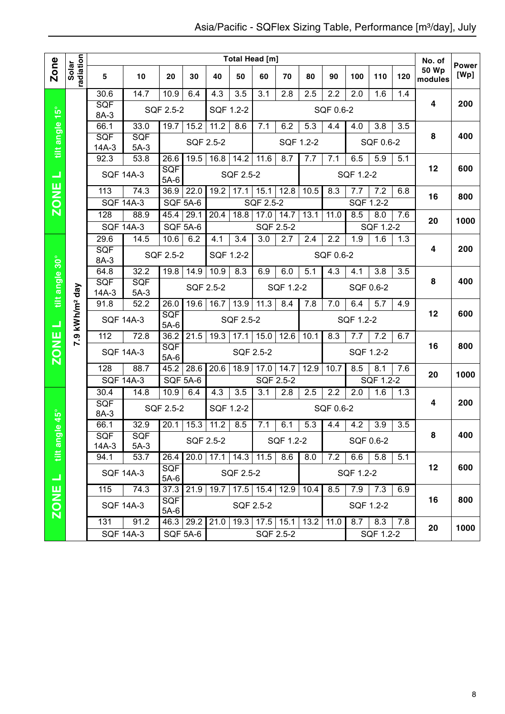|                              |                        |                    |                  |                      |                   |                  | <b>Total Head [m]</b> |                  |                       |                  |                  |                  |                  |     | No. of                  |                      |
|------------------------------|------------------------|--------------------|------------------|----------------------|-------------------|------------------|-----------------------|------------------|-----------------------|------------------|------------------|------------------|------------------|-----|-------------------------|----------------------|
| Zone                         | radiation<br>Solar     | 5                  | 10               | 20                   | 30                | 40               | 50                    | 60               | 70                    | 80               | 90               | 100              | 110              | 120 | <b>50 Wp</b><br>modules | <b>Power</b><br>[Wp] |
|                              |                        | 30.6               | 14.7             | 10.9                 | 6.4               | $\overline{4.3}$ | 3.5                   | 3.1              | 2.8                   | 2.5              | 2.2              | 2.0              | 1.6              | 1.4 |                         |                      |
|                              |                        | SQF<br>8A-3        |                  | SQF 2.5-2            |                   | SQF 1.2-2        |                       |                  |                       |                  | SQF 0.6-2        |                  |                  |     | 4                       | 200                  |
|                              |                        | 66.1               | 33.0             | 19.7                 | 15.2              | 11.2             | 8.6                   | 7.1              | 6.2                   | $\overline{5.3}$ | 4.4              | 4.0              | 3.8              | 3.5 |                         |                      |
| tilt angle 15°               |                        | SQF                | SQF              |                      |                   | SQF 2.5-2        |                       |                  |                       | SQF 1.2-2        |                  |                  | SQF 0.6-2        |     | 8                       | 400                  |
|                              |                        | $14A-3$            | $5A-3$           |                      |                   |                  |                       |                  |                       |                  |                  |                  |                  |     |                         |                      |
|                              |                        | 92.3               | 53.8             | 26.6<br><b>SQF</b>   | 19.5              | 16.8             | 14.2                  | 11.6             | 8.7                   | 7.7              | 7.1              | 6.5              | 5.9              | 5.1 | 12                      | 600                  |
| ᆜ                            |                        | <b>SQF 14A-3</b>   |                  | $5A-6$               |                   |                  | SQF 2.5-2             |                  |                       |                  |                  | SQF 1.2-2        |                  |     |                         |                      |
| <b>ZONE</b>                  |                        | $\overline{113}$   | 74.3             | 36.9                 | 22.0              | 19.2             | 17.1                  | 15.1             | 12.8                  | 10.5             | 8.3              | 7.7              | $\overline{7.2}$ | 6.8 | 16                      | 800                  |
|                              |                        | <b>SQF 14A-3</b>   |                  | <b>SQF 5A-6</b>      |                   |                  |                       | SQF 2.5-2        |                       |                  |                  |                  | SQF 1.2-2        |     |                         |                      |
|                              |                        | 128                | 88.9             | 45.4                 | 29.1              | 20.4             | 18.8                  | 17.0             | 14.7                  | 13.1             | 11.0             | 8.5              | 8.0              | 7.6 | 20                      | 1000                 |
|                              |                        | <b>SQF 14A-3</b>   |                  | SQF 5A-6             |                   |                  |                       | <b>SQF 2.5-2</b> |                       |                  |                  |                  | SQF 1.2-2        |     |                         |                      |
|                              |                        | 29.6               | 14.5             | 10.6                 | 6.2               | 4.1              | $\overline{3.4}$      | $\overline{3.0}$ | 2.7                   | 2.4              | $\overline{2.2}$ | 1.9              | 1.6              | 1.3 | 4                       | 200                  |
|                              |                        | <b>SQF</b><br>8A-3 |                  | SQF 2.5-2            |                   | SQF 1.2-2        |                       |                  |                       |                  | SQF 0.6-2        |                  |                  |     |                         |                      |
|                              |                        | 64.8               | 32.2             | 19.8                 | 14.9              | 10.9             | 8.3                   | 6.9              | 6.0                   | 5.1              | 4.3              | $4.\overline{1}$ | 3.8              | 3.5 |                         |                      |
| tilt angle 30°               |                        | SQF                | SQF              |                      |                   | SQF 2.5-2        |                       |                  | SQF 1.2-2             |                  |                  |                  | SQF 0.6-2        |     | 8                       | 400                  |
|                              | day                    | $14A-3$            | $5A-3$           |                      |                   |                  |                       |                  |                       |                  |                  |                  |                  |     |                         |                      |
|                              |                        | 91.8               | 52.2             | 26.0<br>SQF          | 19.6              | 16.7             | 13.9                  | 11.3             | 8.4                   | 7.8              | 7.0              | 6.4              | 5.7              | 4.9 | 12                      | 600                  |
| ⊐                            | 7.9 kWh/m <sup>2</sup> | <b>SQF 14A-3</b>   |                  | $5A-6$               |                   |                  | SQF 2.5-2             |                  |                       |                  |                  | SQF 1.2-2        |                  |     |                         |                      |
|                              |                        | 112                | 72.8             | 36.2                 | 21.5              | 19.3             | 17.1                  | 15.0             | 12.6                  | 10.1             | 8.3              | 7.7              | 7.2              | 6.7 |                         |                      |
| <b>ZONE</b>                  |                        |                    | <b>SQF 14A-3</b> | SQF<br>$5A-6$        |                   |                  | SQF 2.5-2             |                  |                       |                  |                  |                  | SQF 1.2-2        |     | 16                      | 800                  |
|                              |                        | 128                | 88.7             | 45.2                 | 28.6              | 20.6             | 18.9                  | 17.0             | 14.7                  | 12.9             | 10.7             | 8.5              | 8.1              | 7.6 |                         |                      |
|                              |                        | <b>SQF 14A-3</b>   |                  | <b>SQF 5A-6</b>      |                   |                  |                       |                  | SQF 2.5-2             |                  |                  |                  | SQF 1.2-2        |     | 20                      | 1000                 |
|                              |                        | 30.4               | 14.8             | 10.9                 | 6.4               | 4.3              | $\overline{3.5}$      | 3.1              | 2.8                   | 2.5              | $\overline{2.2}$ | 2.0              | 1.6              | 1.3 |                         |                      |
|                              |                        | SQF<br>8A-3        |                  | SQF 2.5-2            |                   | SQF 1.2-2        |                       |                  |                       |                  | SQF 0.6-2        |                  |                  |     | 4                       | 200                  |
| $\overline{6}$ 45 $^{\circ}$ |                        | 66.1               | 32.9             | 20.1                 | $\overline{15.3}$ | 11.2             | 8.5                   | 7.1              | 6.1                   | 5.3              | 4.4              | 4.2              | 3.9              | 3.5 |                         |                      |
| tilt angl                    |                        | <b>SQF</b>         | SQF              |                      |                   | SQF 2.5-2        |                       |                  | SQF 1.2-2             |                  |                  |                  | SQF 0.6-2        |     | 8                       | 400                  |
|                              |                        | 14A-3<br>94.1      | $5A-3$<br>53.7   | 26.4                 | 20.0              | $17.1$ 14.3      |                       | 11.5             | 8.6                   | 8.0              | 7.2              | 6.6              | 5.8              | 5.1 |                         |                      |
|                              |                        |                    |                  | <b>SQF</b>           |                   |                  |                       |                  |                       |                  |                  |                  |                  |     | 12                      | 600                  |
| Œ                            |                        | <b>SQF 14A-3</b>   |                  | $5A-6$               |                   |                  | SQF 2.5-2             |                  |                       |                  |                  | SQF 1.2-2        |                  |     |                         |                      |
|                              |                        | 115                | 74.3             | 37.3                 | 21.9              | 719.7            |                       |                  | $17.5$ 15.4 12.9      | 10.4             | 8.5              | 7.9              | 7.3              | 6.9 |                         |                      |
| <b>ZONE</b>                  |                        |                    | <b>SQF 14A-3</b> | <b>SQF</b><br>$5A-6$ |                   |                  | SQF 2.5-2             |                  |                       |                  |                  |                  | SQF 1.2-2        |     | 16                      | 800                  |
|                              |                        | 131                | 91.2             |                      |                   | 46.3 29.2 21.0   |                       |                  | $19.3$ 17.5 15.1 13.2 |                  | 11.0             | 8.7              | 8.3              | 7.8 | 20                      | 1000                 |
|                              |                        |                    | <b>SQF 14A-3</b> |                      | <b>SQF 5A-6</b>   |                  |                       |                  | SQF 2.5-2             |                  |                  |                  | SQF 1.2-2        |     |                         |                      |